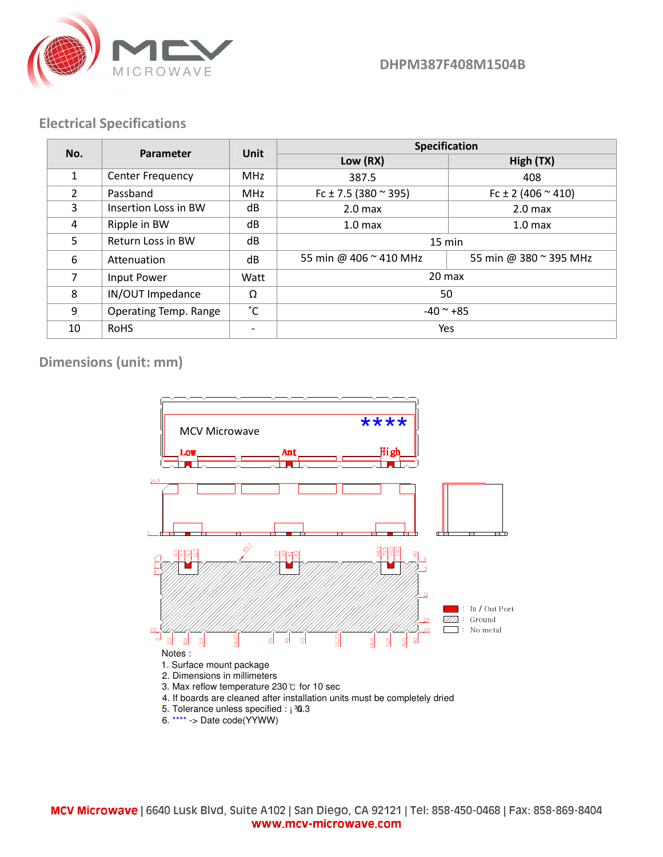

DHPM387F408M1504B

## Electrical Specifications

| No.            | Parameter               | <b>Unit</b> | Specification                |                             |
|----------------|-------------------------|-------------|------------------------------|-----------------------------|
|                |                         |             | Low (RX)                     | High (TX)                   |
| $\mathbf{1}$   | <b>Center Frequency</b> | <b>MHz</b>  | 387.5                        | 408                         |
| $\overline{2}$ | Passband                | <b>MHz</b>  | Fc ± 7.5 (380 $\approx$ 395) | Fc $\pm$ 2 (406 $\sim$ 410) |
| 3              | Insertion Loss in BW    | dB          | 2.0 <sub>max</sub>           | 2.0 <sub>max</sub>          |
| 4              | Ripple in BW            | dB          | 1.0 <sub>max</sub>           | 1.0 <sub>max</sub>          |
| 5              | Return Loss in BW       | dB          | $15 \text{ min}$             |                             |
| 6              | Attenuation             | dB          | 55 min @ 406 ~ 410 MHz       | 55 min @ 380 ~ 395 MHz      |
| $\overline{7}$ | Input Power             | Watt        | 20 max                       |                             |
| 8              | IN/OUT Impedance        | Ω           | 50                           |                             |
| 9              | Operating Temp. Range   | °С          | $-40$ ~ $+85$                |                             |
| 10             | <b>RoHS</b>             |             | Yes                          |                             |

Dimensions (unit: mm)